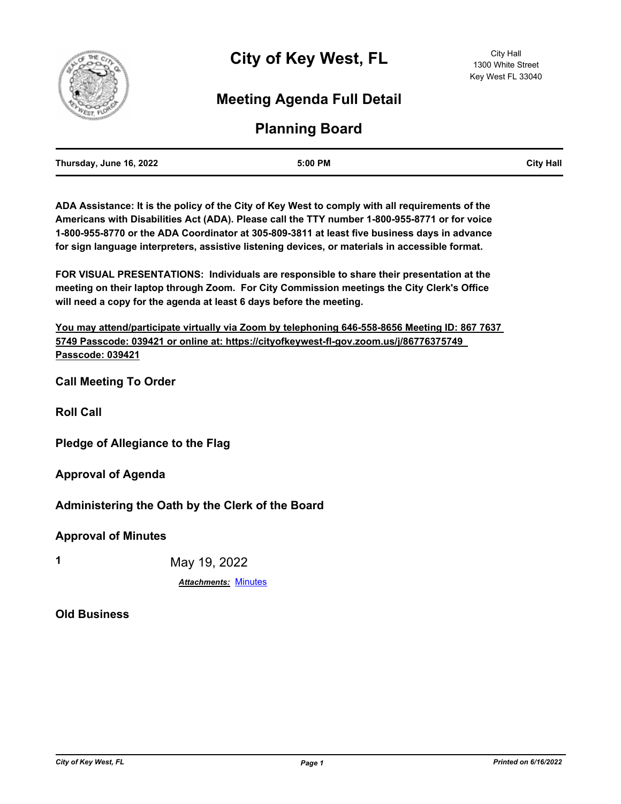

# **Meeting Agenda Full Detail**

# **Planning Board**

| Thursday, June 16, 2022 | 5:00 PM | <b>City Hall</b> |
|-------------------------|---------|------------------|
|                         |         |                  |

**ADA Assistance: It is the policy of the City of Key West to comply with all requirements of the Americans with Disabilities Act (ADA). Please call the TTY number 1-800-955-8771 or for voice 1-800-955-8770 or the ADA Coordinator at 305-809-3811 at least five business days in advance for sign language interpreters, assistive listening devices, or materials in accessible format.**

**FOR VISUAL PRESENTATIONS: Individuals are responsible to share their presentation at the meeting on their laptop through Zoom. For City Commission meetings the City Clerk's Office will need a copy for the agenda at least 6 days before the meeting.**

**You may attend/participate virtually via Zoom by telephoning 646-558-8656 Meeting ID: 867 7637 5749 Passcode: 039421 or online at: https://cityofkeywest-fl-gov.zoom.us/j/86776375749 Passcode: 039421**

**Call Meeting To Order**

**Roll Call**

**Pledge of Allegiance to the Flag**

**Approval of Agenda**

**Administering the Oath by the Clerk of the Board**

**Approval of Minutes**

**1** May 19, 2022

*Attachments:* [Minutes](http://KeyWest.legistar.com/gateway.aspx?M=F&ID=95c61fd6-cab8-4d03-a93e-bacc000a7aef.pdf)

**Old Business**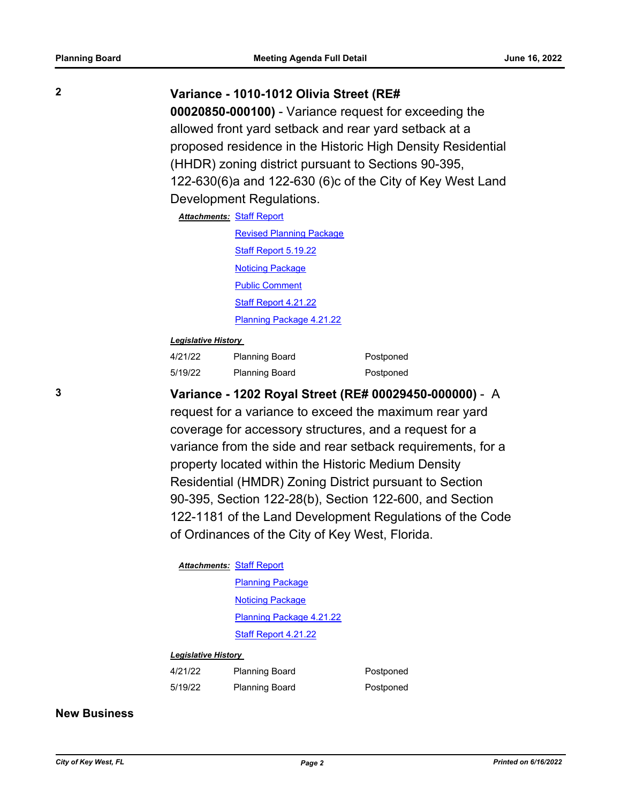## **2 Variance - 1010-1012 Olivia Street (RE#**

**00020850-000100)** - Variance request for exceeding the allowed front yard setback and rear yard setback at a proposed residence in the Historic High Density Residential (HHDR) zoning district pursuant to Sections 90-395, 122-630(6)a and 122-630 (6)c of the City of Key West Land Development Regulations.

# **Attachments: [Staff Report](http://KeyWest.legistar.com/gateway.aspx?M=F&ID=2b307ba5-8db8-43b2-afad-74f5e17a5aac.pdf)** [Revised Planning Package](http://KeyWest.legistar.com/gateway.aspx?M=F&ID=6dbc4c1d-3ae8-4382-937a-bd1bc99e9ad2.pdf) [Staff Report 5.19.22](http://KeyWest.legistar.com/gateway.aspx?M=F&ID=208e2540-9e1b-4378-9a95-0f0cf2da26ae.pdf)

[Noticing Package](http://KeyWest.legistar.com/gateway.aspx?M=F&ID=59716a5d-ff2a-4904-800b-c3288e2561fa.pdf) [Public Comment](http://KeyWest.legistar.com/gateway.aspx?M=F&ID=e3692b48-3c42-48ab-8502-b5a87f98e786.pdf) [Staff Report 4.21.22](http://KeyWest.legistar.com/gateway.aspx?M=F&ID=c81f5382-4a46-4a93-b7d3-166731ca0441.pdf) [Planning Package 4.21.22](http://KeyWest.legistar.com/gateway.aspx?M=F&ID=1e2b4831-acf8-4119-9d4a-17b7d810cbbf.pdf)

#### *Legislative History*

| 4/21/22 | <b>Planning Board</b> | Postponed |
|---------|-----------------------|-----------|
| 5/19/22 | <b>Planning Board</b> | Postponed |

# **3 Variance - 1202 Royal Street (RE# 00029450-000000)** - A

request for a variance to exceed the maximum rear yard coverage for accessory structures, and a request for a variance from the side and rear setback requirements, for a property located within the Historic Medium Density Residential (HMDR) Zoning District pursuant to Section 90-395, Section 122-28(b), Section 122-600, and Section 122-1181 of the Land Development Regulations of the Code of Ordinances of the City of Key West, Florida.

#### **Attachments: [Staff Report](http://KeyWest.legistar.com/gateway.aspx?M=F&ID=e0ed7dc1-6c5c-40d1-9fb1-12066915665f.pdf)**

**[Planning Package](http://KeyWest.legistar.com/gateway.aspx?M=F&ID=35f20f9e-639b-4acb-8b11-f6f0c1f17143.pdf)** [Noticing Package](http://KeyWest.legistar.com/gateway.aspx?M=F&ID=4bc3e4e2-a546-4895-97cc-81ecf0c99e0d.pdf) [Planning Package 4.21.22](http://KeyWest.legistar.com/gateway.aspx?M=F&ID=5d50f65c-539e-4540-a115-a521e7ebc6d7.pdf) [Staff Report 4.21.22](http://KeyWest.legistar.com/gateway.aspx?M=F&ID=81bccd40-e754-42f2-aa42-e18332e6626f.pdf)

#### *Legislative History*

| 4/21/22 | <b>Planning Board</b> | Postponed |
|---------|-----------------------|-----------|
| 5/19/22 | <b>Planning Board</b> | Postponed |

#### **New Business**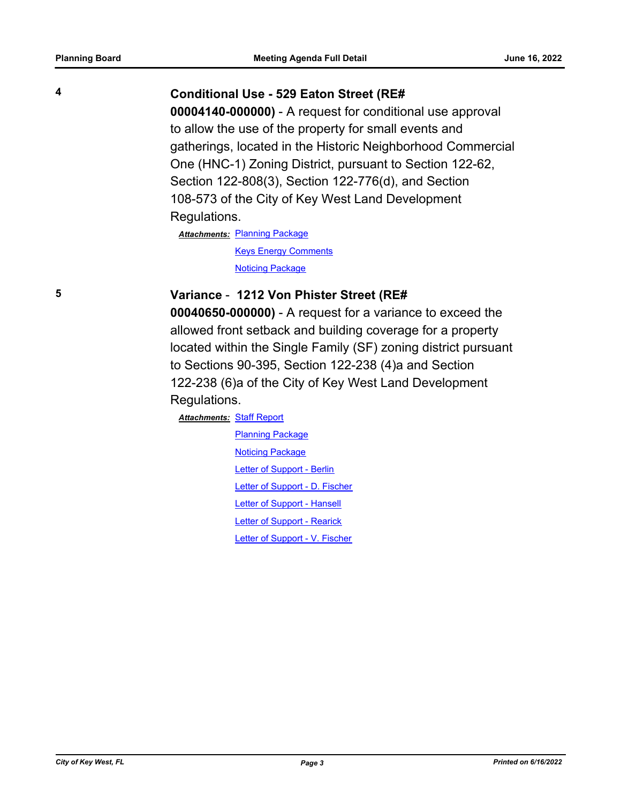## **4 Conditional Use - 529 Eaton Street (RE#**

**00004140-000000)** - A request for conditional use approval to allow the use of the property for small events and gatherings, located in the Historic Neighborhood Commercial One (HNC-1) Zoning District, pursuant to Section 122-62, Section 122-808(3), Section 122-776(d), and Section 108-573 of the City of Key West Land Development Regulations.

**Attachments: [Planning Package](http://KeyWest.legistar.com/gateway.aspx?M=F&ID=1b286461-f207-4ea1-82a2-e906443f073e.pdf)** [Keys Energy Comments](http://KeyWest.legistar.com/gateway.aspx?M=F&ID=8ffa1925-1194-4f51-88e8-e860bdaa3d08.pdf) **[Noticing Package](http://KeyWest.legistar.com/gateway.aspx?M=F&ID=e008ee2e-2c9f-480f-9daf-d140356dbd1b.pdf)** 

## **5 Variance** - **1212 Von Phister Street (RE#**

**00040650-000000)** - A request for a variance to exceed the allowed front setback and building coverage for a property located within the Single Family (SF) zoning district pursuant to Sections 90-395, Section 122-238 (4)a and Section 122-238 (6)a of the City of Key West Land Development Regulations.

**Attachments: [Staff Report](http://KeyWest.legistar.com/gateway.aspx?M=F&ID=ace25b21-88c0-444f-aa3f-3c97d52546e0.pdf) [Planning Package](http://KeyWest.legistar.com/gateway.aspx?M=F&ID=0de7ede9-3125-4632-a472-d93a7c06341d.pdf) [Noticing Package](http://KeyWest.legistar.com/gateway.aspx?M=F&ID=f7356692-0550-4619-a80d-e9ceec39f475.pdf)** [Letter of Support - Berlin](http://KeyWest.legistar.com/gateway.aspx?M=F&ID=debc4dde-24bf-482d-98f1-b35ed0b950f1.pdf) [Letter of Support - D. Fischer](http://KeyWest.legistar.com/gateway.aspx?M=F&ID=2b4a08db-0511-4351-804e-f567a02b1990.pdf) [Letter of Support - Hansell](http://KeyWest.legistar.com/gateway.aspx?M=F&ID=3a02f639-9b3c-4446-b4f9-263cb1eeb3fc.pdf) [Letter of Support - Rearick](http://KeyWest.legistar.com/gateway.aspx?M=F&ID=bc87f298-a78f-4d12-9740-4e40f1d2a1f9.pdf) [Letter of Support - V. Fischer](http://KeyWest.legistar.com/gateway.aspx?M=F&ID=c7423eae-24bf-4130-8289-8df344e6aa87.pdf)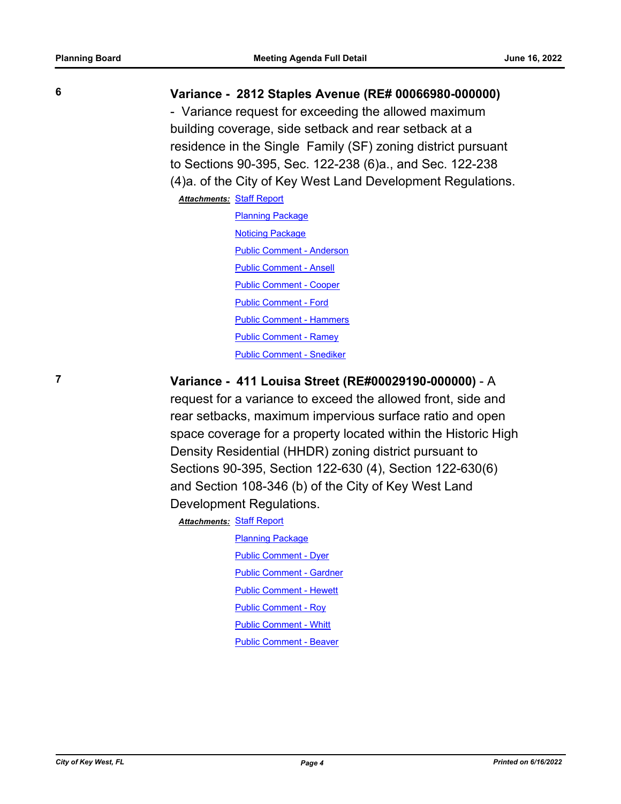### **6 Variance - 2812 Staples Avenue (RE# 00066980-000000)**

- Variance request for exceeding the allowed maximum building coverage, side setback and rear setback at a residence in the Single Family (SF) zoning district pursuant to Sections 90-395, Sec. 122-238 (6)a., and Sec. 122-238 (4)a. of the City of Key West Land Development Regulations.

#### **Attachments: [Staff Report](http://KeyWest.legistar.com/gateway.aspx?M=F&ID=8c9b5375-16bf-4297-b3c8-2d00d0b04bea.pdf)**

[Planning Package](http://KeyWest.legistar.com/gateway.aspx?M=F&ID=2292d6ef-6d35-4aa3-81eb-5a3bc81f792f.pdf) **[Noticing Package](http://KeyWest.legistar.com/gateway.aspx?M=F&ID=be781fdc-3c39-4070-8b81-9ae49818b397.pdf)** [Public Comment - Anderson](http://KeyWest.legistar.com/gateway.aspx?M=F&ID=4428b000-2ae7-413e-a20d-28af51f3fd88.pdf) [Public Comment - Ansell](http://KeyWest.legistar.com/gateway.aspx?M=F&ID=03d8ff70-1032-4c2e-8c81-ed15b3f65037.pdf) [Public Comment - Cooper](http://KeyWest.legistar.com/gateway.aspx?M=F&ID=8036e99c-1aa4-4356-8452-5f18b4493a3e.pdf) [Public Comment - Ford](http://KeyWest.legistar.com/gateway.aspx?M=F&ID=6794cedd-e3ff-4031-95d4-d55579ceb7d1.pdf) [Public Comment - Hammers](http://KeyWest.legistar.com/gateway.aspx?M=F&ID=82f8070f-2d38-4088-9eef-bb4986eaa5c7.pdf) [Public Comment - Ramey](http://KeyWest.legistar.com/gateway.aspx?M=F&ID=32770ce2-2ac0-43f2-b935-c2440d24a888.pdf) [Public Comment - Snediker](http://KeyWest.legistar.com/gateway.aspx?M=F&ID=bc735d69-a2c6-4df8-81d7-dfc7c4f8bafb.pdf)

# **7 Variance - 411 Louisa Street (RE#00029190-000000)** - A

request for a variance to exceed the allowed front, side and rear setbacks, maximum impervious surface ratio and open space coverage for a property located within the Historic High Density Residential (HHDR) zoning district pursuant to Sections 90-395, Section 122-630 (4), Section 122-630(6) and Section 108-346 (b) of the City of Key West Land Development Regulations.

**Attachments: [Staff Report](http://KeyWest.legistar.com/gateway.aspx?M=F&ID=5c03522a-44fa-486c-9a11-490d03e56db3.pdf)** 

[Planning Package](http://KeyWest.legistar.com/gateway.aspx?M=F&ID=80bade4f-5bcd-412a-93f5-9ebdb58df29e.pdf) [Public Comment - Dyer](http://KeyWest.legistar.com/gateway.aspx?M=F&ID=d177c10d-b3e6-44d0-b567-c935baf29752.pdf) [Public Comment - Gardner](http://KeyWest.legistar.com/gateway.aspx?M=F&ID=92074733-e388-4cbf-9175-f456a44473b9.pdf) [Public Comment - Hewett](http://KeyWest.legistar.com/gateway.aspx?M=F&ID=12f01678-9f92-4017-b3b8-2b97223c4782.pdf) [Public Comment - Roy](http://KeyWest.legistar.com/gateway.aspx?M=F&ID=6869b281-e0a4-41f5-acde-df15bec89729.pdf) [Public Comment - Whitt](http://KeyWest.legistar.com/gateway.aspx?M=F&ID=5b13e469-a8b1-435c-8ef6-2bafca698816.pdf) [Public Comment - Beaver](http://KeyWest.legistar.com/gateway.aspx?M=F&ID=d593a2e3-6473-4e44-b29f-c07f196f86b5.pdf)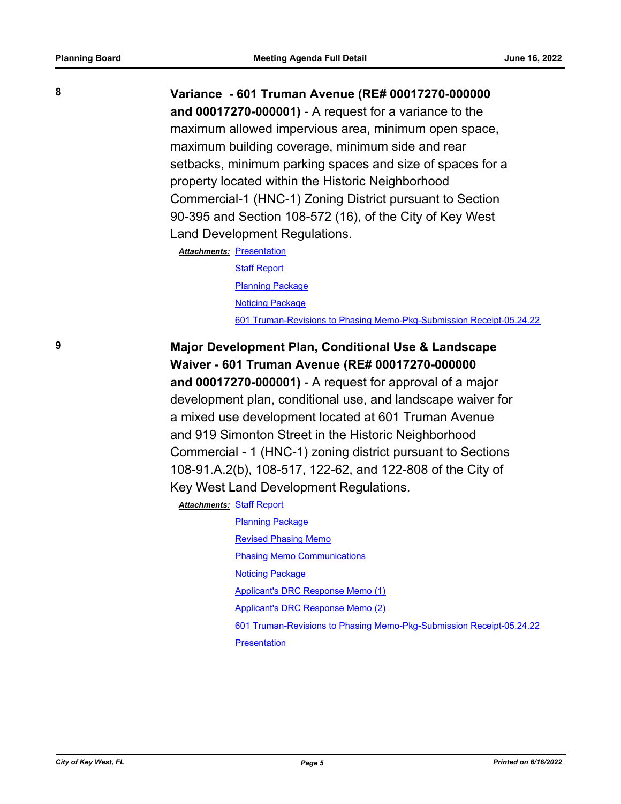**8 Variance - 601 Truman Avenue (RE# 00017270-000000 and 00017270-000001)** - A request for a variance to the maximum allowed impervious area, minimum open space, maximum building coverage, minimum side and rear setbacks, minimum parking spaces and size of spaces for a property located within the Historic Neighborhood Commercial-1 (HNC-1) Zoning District pursuant to Section 90-395 and Section 108-572 (16), of the City of Key West Land Development Regulations.

> **Attachments: [Presentation](http://KeyWest.legistar.com/gateway.aspx?M=F&ID=998af19b-8730-4ba3-811c-2458a36a6f2d.pdf) [Staff Report](http://KeyWest.legistar.com/gateway.aspx?M=F&ID=88680718-2e24-4b17-a147-2d9f91921499.pdf)** [Planning Package](http://KeyWest.legistar.com/gateway.aspx?M=F&ID=4452b26f-a81d-4e2b-97a9-79d53ebec264.pdf) [Noticing Package](http://KeyWest.legistar.com/gateway.aspx?M=F&ID=333e6f4b-cac4-4ed9-84ac-a84c4ddb1b8d.pdf) [601 Truman-Revisions to Phasing Memo-Pkg-Submission Receipt-05.24.22](http://KeyWest.legistar.com/gateway.aspx?M=F&ID=cc0bebb3-3d34-4525-a551-d540527b5e7d.pdf)

# **9 Major Development Plan, Conditional Use & Landscape Waiver - 601 Truman Avenue (RE# 00017270-000000**

**and 00017270-000001)** - A request for approval of a major development plan, conditional use, and landscape waiver for a mixed use development located at 601 Truman Avenue and 919 Simonton Street in the Historic Neighborhood Commercial - 1 (HNC-1) zoning district pursuant to Sections 108-91.A.2(b), 108-517, 122-62, and 122-808 of the City of Key West Land Development Regulations.

[Staff Report](http://KeyWest.legistar.com/gateway.aspx?M=F&ID=861c9097-ca0b-45fb-ba1f-0773568c2a8c.pdf) *Attachments:*

[Planning Package](http://KeyWest.legistar.com/gateway.aspx?M=F&ID=e86361d6-ceca-47a1-ae36-e5d2fa6af278.pdf) [Revised Phasing Memo](http://KeyWest.legistar.com/gateway.aspx?M=F&ID=a9b89d8c-44ea-48fc-bfec-c5abd1067927.pdf) [Phasing Memo Communications](http://KeyWest.legistar.com/gateway.aspx?M=F&ID=14be0c9b-d249-40ed-aab8-b0c4a2f6357f.msg) [Noticing Package](http://KeyWest.legistar.com/gateway.aspx?M=F&ID=164392f3-268d-4ca3-88ce-1ffca1e81c28.pdf) [Applicant's DRC Response Memo \(1\)](http://KeyWest.legistar.com/gateway.aspx?M=F&ID=f23528bb-ef91-4713-af7d-b6c1eb3b1467.pdf) [Applicant's DRC Response Memo \(2\)](http://KeyWest.legistar.com/gateway.aspx?M=F&ID=f2c5c305-82b3-4340-ba25-165fa1544357.pdf) [601 Truman-Revisions to Phasing Memo-Pkg-Submission Receipt-05.24.22](http://KeyWest.legistar.com/gateway.aspx?M=F&ID=ed1c4496-7ddc-4312-9f67-878056af1f5e.pdf)

**[Presentation](http://KeyWest.legistar.com/gateway.aspx?M=F&ID=98cc1e6c-7665-4a07-bc06-155293d367d0.pdf)**